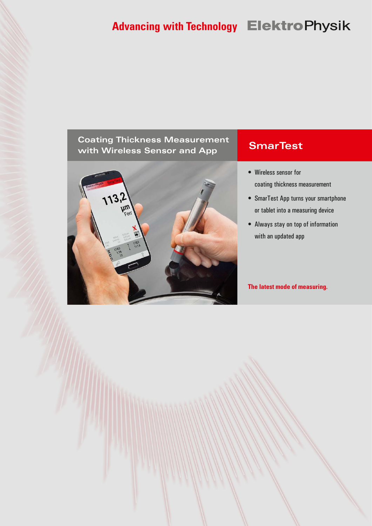# **Advancing with Technology Elektro Physik**

### **Coating Thickness Measurement with Wireless Sensor and App SmarTest**



- • Wireless sensor for coating thickness measurement
- SmarTest App turns your smartphone or tablet into a measuring device
- • Always stay on top of information with an updated app

#### **The latest mode of measuring.**